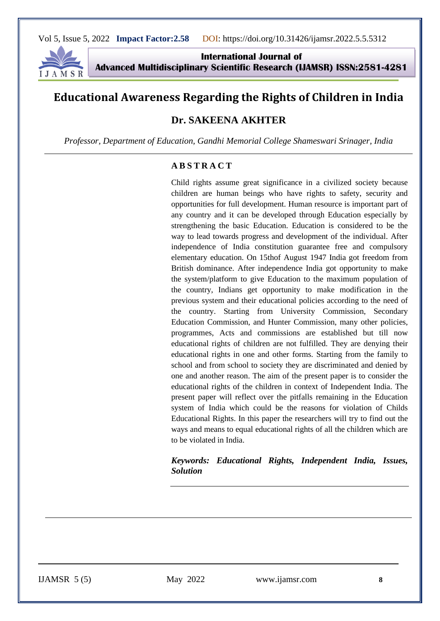

**International Journal of Advanced Multidisciplinary Scientific Research (IJAMSR) ISSN:2581-4281**

# **Educational Awareness Regarding the Rights of Children in India**

# **Dr. SAKEENA AKHTER**

*Professor, Department of Education, Gandhi Memorial College Shameswari Srinager, India*

#### **A B S T R A C T**

Child rights assume great significance in a civilized society because children are human beings who have rights to safety, security and opportunities for full development. Human resource is important part of any country and it can be developed through Education especially by strengthening the basic Education. Education is considered to be the way to lead towards progress and development of the individual. After independence of India constitution guarantee free and compulsory elementary education. On 15thof August 1947 India got freedom from British dominance. After independence India got opportunity to make the system/platform to give Education to the maximum population of the country, Indians get opportunity to make modification in the previous system and their educational policies according to the need of the country. Starting from University Commission, Secondary Education Commission, and Hunter Commission, many other policies, programmes, Acts and commissions are established but till now educational rights of children are not fulfilled. They are denying their educational rights in one and other forms. Starting from the family to school and from school to society they are discriminated and denied by one and another reason. The aim of the present paper is to consider the educational rights of the children in context of Independent India. The present paper will reflect over the pitfalls remaining in the Education system of India which could be the reasons for violation of Childs Educational Rights. In this paper the researchers will try to find out the ways and means to equal educational rights of all the children which are to be violated in India.

*Keywords: Educational Rights, Independent India, Issues, Solution*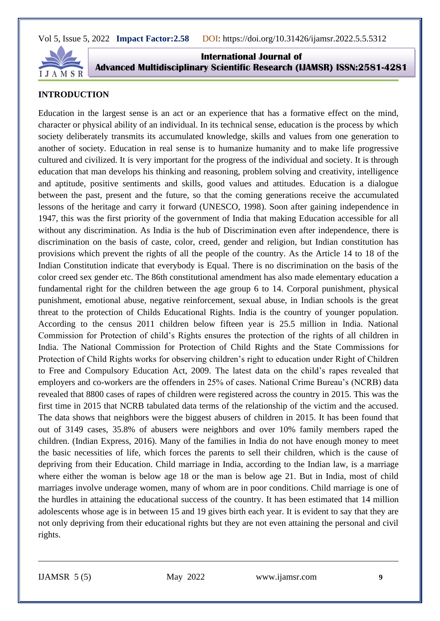

**International Journal of Advanced Multidisciplinary Scientific Research (IJAMSR) ISSN:2581-4281**

#### **INTRODUCTION**

Education in the largest sense is an act or an experience that has a formative effect on the mind, character or physical ability of an individual. In its technical sense, education is the process by which society deliberately transmits its accumulated knowledge, skills and values from one generation to another of society. Education in real sense is to humanize humanity and to make life progressive cultured and civilized. It is very important for the progress of the individual and society. It is through education that man develops his thinking and reasoning, problem solving and creativity, intelligence and aptitude, positive sentiments and skills, good values and attitudes. Education is a dialogue between the past, present and the future, so that the coming generations receive the accumulated lessons of the heritage and carry it forward (UNESCO, 1998). Soon after gaining independence in 1947, this was the first priority of the government of India that making Education accessible for all without any discrimination. As India is the hub of Discrimination even after independence, there is discrimination on the basis of caste, color, creed, gender and religion, but Indian constitution has provisions which prevent the rights of all the people of the country. As the Article 14 to 18 of the Indian Constitution indicate that everybody is Equal. There is no discrimination on the basis of the color creed sex gender etc. The 86th constitutional amendment has also made elementary education a fundamental right for the children between the age group 6 to 14. Corporal punishment, physical punishment, emotional abuse, negative reinforcement, sexual abuse, in Indian schools is the great threat to the protection of Childs Educational Rights. India is the country of younger population. According to the census 2011 children below fifteen year is 25.5 million in India. National Commission for Protection of child's Rights ensures the protection of the rights of all children in India. The National Commission for Protection of Child Rights and the State Commissions for Protection of Child Rights works for observing children's right to education under Right of Children to Free and Compulsory Education Act, 2009. The latest data on the child's rapes revealed that employers and co-workers are the offenders in 25% of cases. National Crime Bureau's (NCRB) data revealed that 8800 cases of rapes of children were registered across the country in 2015. This was the first time in 2015 that NCRB tabulated data terms of the relationship of the victim and the accused. The data shows that neighbors were the biggest abusers of children in 2015. It has been found that out of 3149 cases, 35.8% of abusers were neighbors and over 10% family members raped the children. (Indian Express, 2016). Many of the families in India do not have enough money to meet the basic necessities of life, which forces the parents to sell their children, which is the cause of depriving from their Education. Child marriage in India, according to the Indian law, is a marriage where either the woman is below age 18 or the man is below age 21. But in India, most of child marriages involve underage women, many of whom are in poor conditions. Child marriage is one of the hurdles in attaining the educational success of the country. It has been estimated that 14 million adolescents whose age is in between 15 and 19 gives birth each year. It is evident to say that they are not only depriving from their educational rights but they are not even attaining the personal and civil rights.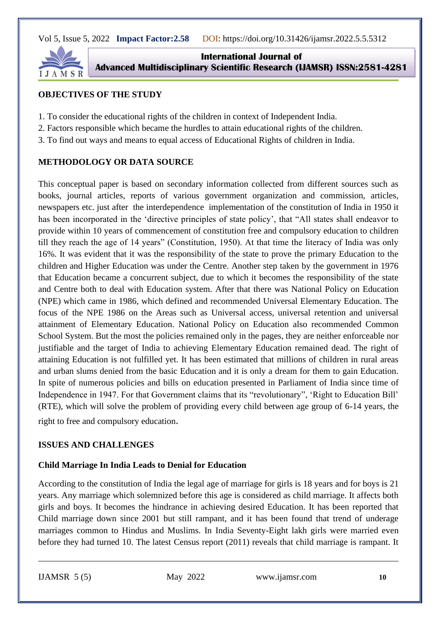

**International Journal of Advanced Multidisciplinary Scientific Research (IJAMSR) ISSN:2581-4281**

### **OBJECTIVES OF THE STUDY**

- 1. To consider the educational rights of the children in context of Independent India.
- 2. Factors responsible which became the hurdles to attain educational rights of the children.
- 3. To find out ways and means to equal access of Educational Rights of children in India.

# **METHODOLOGY OR DATA SOURCE**

This conceptual paper is based on secondary information collected from different sources such as books, journal articles, reports of various government organization and commission, articles, newspapers etc. just after the interdependence implementation of the constitution of India in 1950 it has been incorporated in the 'directive principles of state policy', that "All states shall endeavor to provide within 10 years of commencement of constitution free and compulsory education to children till they reach the age of 14 years" (Constitution, 1950). At that time the literacy of India was only 16%. It was evident that it was the responsibility of the state to prove the primary Education to the children and Higher Education was under the Centre. Another step taken by the government in 1976 that Education became a concurrent subject, due to which it becomes the responsibility of the state and Centre both to deal with Education system. After that there was National Policy on Education (NPE) which came in 1986, which defined and recommended Universal Elementary Education. The focus of the NPE 1986 on the Areas such as Universal access, universal retention and universal attainment of Elementary Education. National Policy on Education also recommended Common School System. But the most the policies remained only in the pages, they are neither enforceable nor justifiable and the target of India to achieving Elementary Education remained dead. The right of attaining Education is not fulfilled yet. It has been estimated that millions of children in rural areas and urban slums denied from the basic Education and it is only a dream for them to gain Education. In spite of numerous policies and bills on education presented in Parliament of India since time of Independence in 1947. For that Government claims that its "revolutionary", 'Right to Education Bill' (RTE), which will solve the problem of providing every child between age group of 6-14 years, the

right to free and compulsory education.

# **ISSUES AND CHALLENGES**

# **Child Marriage In India Leads to Denial for Education**

According to the constitution of India the legal age of marriage for girls is 18 years and for boys is 21 years. Any marriage which solemnized before this age is considered as child marriage. It affects both girls and boys. It becomes the hindrance in achieving desired Education. It has been reported that Child marriage down since 2001 but still rampant, and it has been found that trend of underage marriages common to Hindus and Muslims. In India Seventy-Eight lakh girls were married even before they had turned 10. The latest Census report (2011) reveals that child marriage is rampant. It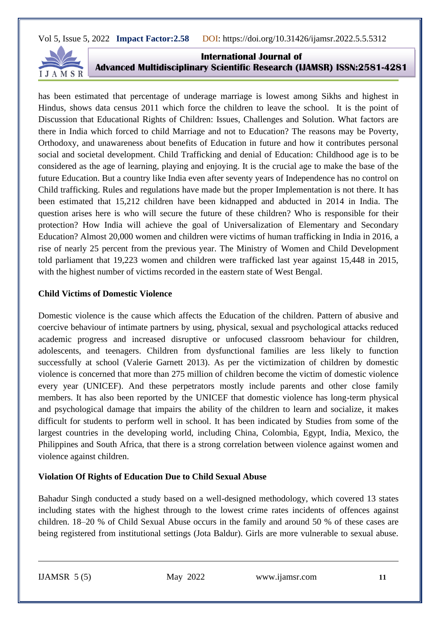

**International Journal of Advanced Multidisciplinary Scientific Research (IJAMSR) ISSN:2581-4281**

has been estimated that percentage of underage marriage is lowest among Sikhs and highest in Hindus, shows data census 2011 which force the children to leave the school. It is the point of Discussion that Educational Rights of Children: Issues, Challenges and Solution. What factors are there in India which forced to child Marriage and not to Education? The reasons may be Poverty, Orthodoxy, and unawareness about benefits of Education in future and how it contributes personal social and societal development. Child Trafficking and denial of Education: Childhood age is to be considered as the age of learning, playing and enjoying. It is the crucial age to make the base of the future Education. But a country like India even after seventy years of Independence has no control on Child trafficking. Rules and regulations have made but the proper Implementation is not there. It has been estimated that 15,212 children have been kidnapped and abducted in 2014 in India. The question arises here is who will secure the future of these children? Who is responsible for their protection? How India will achieve the goal of Universalization of Elementary and Secondary Education? Almost 20,000 women and children were victims of human trafficking in India in 2016, a rise of nearly 25 percent from the previous year. The Ministry of Women and Child Development told parliament that 19,223 women and children were trafficked last year against 15,448 in 2015, with the highest number of victims recorded in the eastern state of West Bengal.

#### **Child Victims of Domestic Violence**

Domestic violence is the cause which affects the Education of the children. Pattern of abusive and coercive behaviour of intimate partners by using, physical, sexual and psychological attacks reduced academic progress and increased disruptive or unfocused classroom behaviour for children, adolescents, and teenagers. Children from dysfunctional families are less likely to function successfully at school (Valerie Garnett 2013). As per the victimization of children by domestic violence is concerned that more than 275 million of children become the victim of domestic violence every year (UNICEF). And these perpetrators mostly include parents and other close family members. It has also been reported by the UNICEF that domestic violence has long-term physical and psychological damage that impairs the ability of the children to learn and socialize, it makes difficult for students to perform well in school. It has been indicated by Studies from some of the largest countries in the developing world, including China, Colombia, Egypt, India, Mexico, the Philippines and South Africa, that there is a strong correlation between violence against women and violence against children.

#### **Violation Of Rights of Education Due to Child Sexual Abuse**

Bahadur Singh conducted a study based on a well-designed methodology, which covered 13 states including states with the highest through to the lowest crime rates incidents of offences against children. 18–20 % of Child Sexual Abuse occurs in the family and around 50 % of these cases are being registered from institutional settings (Jota Baldur). Girls are more vulnerable to sexual abuse.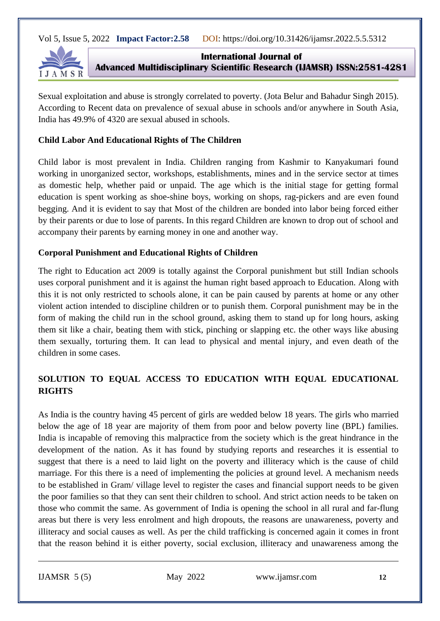

**International Journal of Advanced Multidisciplinary Scientific Research (IJAMSR) ISSN:2581-4281**

Sexual exploitation and abuse is strongly correlated to poverty. (Jota Belur and Bahadur Singh 2015). According to Recent data on prevalence of sexual abuse in schools and/or anywhere in South Asia, India has 49.9% of 4320 are sexual abused in schools.

#### **Child Labor And Educational Rights of The Children**

Child labor is most prevalent in India. Children ranging from Kashmir to Kanyakumari found working in unorganized sector, workshops, establishments, mines and in the service sector at times as domestic help, whether paid or unpaid. The age which is the initial stage for getting formal education is spent working as shoe-shine boys, working on shops, rag-pickers and are even found begging. And it is evident to say that Most of the children are bonded into labor being forced either by their parents or due to lose of parents. In this regard Children are known to drop out of school and accompany their parents by earning money in one and another way.

#### **Corporal Punishment and Educational Rights of Children**

The right to Education act 2009 is totally against the Corporal punishment but still Indian schools uses corporal punishment and it is against the human right based approach to Education. Along with this it is not only restricted to schools alone, it can be pain caused by parents at home or any other violent action intended to discipline children or to punish them. Corporal punishment may be in the form of making the child run in the school ground, asking them to stand up for long hours, asking them sit like a chair, beating them with stick, pinching or slapping etc. the other ways like abusing them sexually, torturing them. It can lead to physical and mental injury, and even death of the children in some cases.

# **SOLUTION TO EQUAL ACCESS TO EDUCATION WITH EQUAL EDUCATIONAL RIGHTS**

As India is the country having 45 percent of girls are wedded below 18 years. The girls who married below the age of 18 year are majority of them from poor and below poverty line (BPL) families. India is incapable of removing this malpractice from the society which is the great hindrance in the development of the nation. As it has found by studying reports and researches it is essential to suggest that there is a need to laid light on the poverty and illiteracy which is the cause of child marriage. For this there is a need of implementing the policies at ground level. A mechanism needs to be established in Gram/ village level to register the cases and financial support needs to be given the poor families so that they can sent their children to school. And strict action needs to be taken on those who commit the same. As government of India is opening the school in all rural and far-flung areas but there is very less enrolment and high dropouts, the reasons are unawareness, poverty and illiteracy and social causes as well. As per the child trafficking is concerned again it comes in front that the reason behind it is either poverty, social exclusion, illiteracy and unawareness among the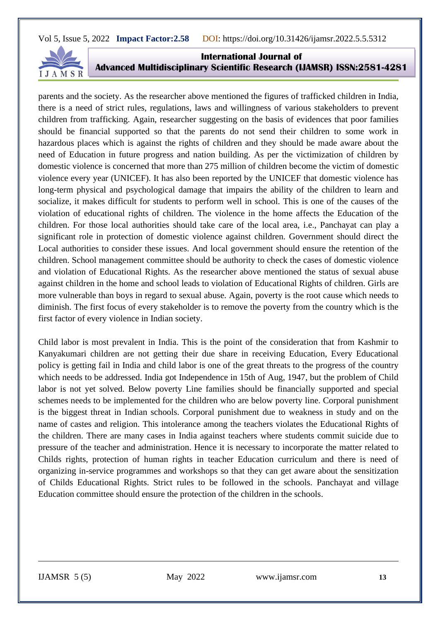

**International Journal of Advanced Multidisciplinary Scientific Research (IJAMSR) ISSN:2581-4281**

parents and the society. As the researcher above mentioned the figures of trafficked children in India, there is a need of strict rules, regulations, laws and willingness of various stakeholders to prevent children from trafficking. Again, researcher suggesting on the basis of evidences that poor families should be financial supported so that the parents do not send their children to some work in hazardous places which is against the rights of children and they should be made aware about the need of Education in future progress and nation building. As per the victimization of children by domestic violence is concerned that more than 275 million of children become the victim of domestic violence every year (UNICEF). It has also been reported by the UNICEF that domestic violence has long-term physical and psychological damage that impairs the ability of the children to learn and socialize, it makes difficult for students to perform well in school. This is one of the causes of the violation of educational rights of children. The violence in the home affects the Education of the children. For those local authorities should take care of the local area, i.e., Panchayat can play a significant role in protection of domestic violence against children. Government should direct the Local authorities to consider these issues. And local government should ensure the retention of the children. School management committee should be authority to check the cases of domestic violence and violation of Educational Rights. As the researcher above mentioned the status of sexual abuse against children in the home and school leads to violation of Educational Rights of children. Girls are more vulnerable than boys in regard to sexual abuse. Again, poverty is the root cause which needs to diminish. The first focus of every stakeholder is to remove the poverty from the country which is the first factor of every violence in Indian society.

Child labor is most prevalent in India. This is the point of the consideration that from Kashmir to Kanyakumari children are not getting their due share in receiving Education, Every Educational policy is getting fail in India and child labor is one of the great threats to the progress of the country which needs to be addressed. India got Independence in 15th of Aug, 1947, but the problem of Child labor is not yet solved. Below poverty Line families should be financially supported and special schemes needs to be implemented for the children who are below poverty line. Corporal punishment is the biggest threat in Indian schools. Corporal punishment due to weakness in study and on the name of castes and religion. This intolerance among the teachers violates the Educational Rights of the children. There are many cases in India against teachers where students commit suicide due to pressure of the teacher and administration. Hence it is necessary to incorporate the matter related to Childs rights, protection of human rights in teacher Education curriculum and there is need of organizing in-service programmes and workshops so that they can get aware about the sensitization of Childs Educational Rights. Strict rules to be followed in the schools. Panchayat and village Education committee should ensure the protection of the children in the schools.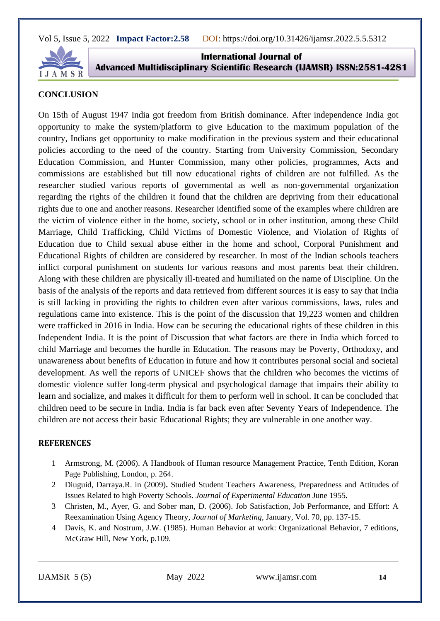

**International Journal of Advanced Multidisciplinary Scientific Research (IJAMSR) ISSN:2581-4281**

#### **CONCLUSION**

On 15th of August 1947 India got freedom from British dominance. After independence India got opportunity to make the system/platform to give Education to the maximum population of the country, Indians get opportunity to make modification in the previous system and their educational policies according to the need of the country. Starting from University Commission, Secondary Education Commission, and Hunter Commission, many other policies, programmes, Acts and commissions are established but till now educational rights of children are not fulfilled. As the researcher studied various reports of governmental as well as non-governmental organization regarding the rights of the children it found that the children are depriving from their educational rights due to one and another reasons. Researcher identified some of the examples where children are the victim of violence either in the home, society, school or in other institution, among these Child Marriage, Child Trafficking, Child Victims of Domestic Violence, and Violation of Rights of Education due to Child sexual abuse either in the home and school, Corporal Punishment and Educational Rights of children are considered by researcher. In most of the Indian schools teachers inflict corporal punishment on students for various reasons and most parents beat their children. Along with these children are physically ill-treated and humiliated on the name of Discipline. On the basis of the analysis of the reports and data retrieved from different sources it is easy to say that India is still lacking in providing the rights to children even after various commissions, laws, rules and regulations came into existence. This is the point of the discussion that 19,223 women and children were trafficked in 2016 in India. How can be securing the educational rights of these children in this Independent India. It is the point of Discussion that what factors are there in India which forced to child Marriage and becomes the hurdle in Education. The reasons may be Poverty, Orthodoxy, and unawareness about benefits of Education in future and how it contributes personal social and societal development. As well the reports of UNICEF shows that the children who becomes the victims of domestic violence suffer long-term physical and psychological damage that impairs their ability to learn and socialize, and makes it difficult for them to perform well in school. It can be concluded that children need to be secure in India. India is far back even after Seventy Years of Independence. The children are not access their basic Educational Rights; they are vulnerable in one another way.

#### **REFERENCES**

- 1 Armstrong, M. (2006). A Handbook of Human resource Management Practice, Tenth Edition, Koran Page Publishing, London, p. 264.
- 2 Diuguid, Darraya.R. in (2009)**.** Studied Student Teachers Awareness, Preparedness and Attitudes of Issues Related to high Poverty Schools. *Journal of Experimental Education* June 1955**.**
- 3 Christen, M., Ayer, G. and Sober man, D. (2006). Job Satisfaction, Job Performance, and Effort: A Reexamination Using Agency Theory*, Journal of Marketing,* January, Vol. 70, pp. 137-15.
- 4 Davis, K. and Nostrum, J.W. (1985). Human Behavior at work: Organizational Behavior, 7 editions, McGraw Hill, New York, p.109.

IJAMSR 5 (5) May 2022 [www.ijamsr.com](http://www.ijamsr.com/) **14**